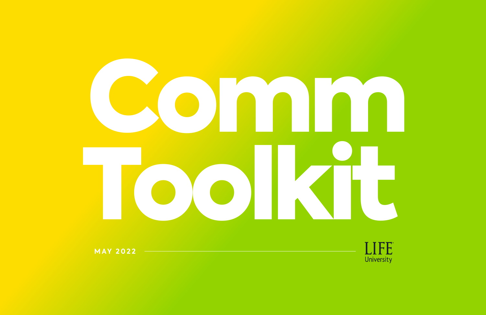

**MAY 2022**

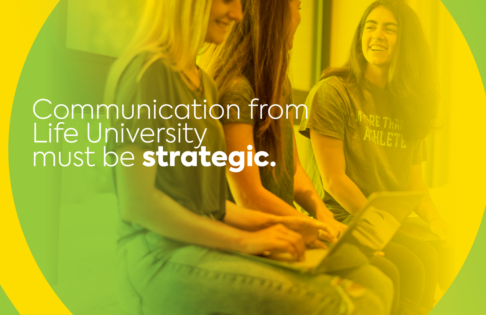# Communication from Life University must be strategic.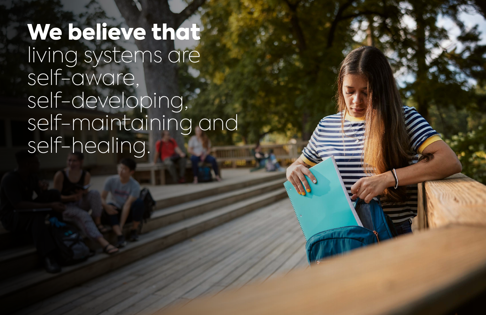We believe that living systems are self-aware, self-developing, self-maintaining and self-healing.

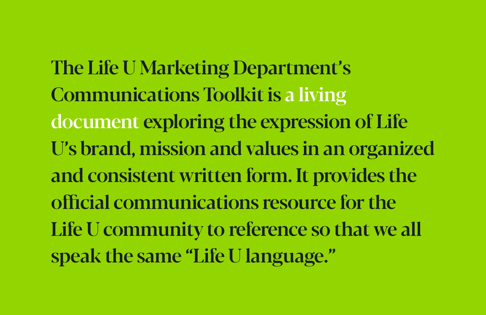The Life U Marketing Department's Communications Toolkit is a living document exploring the expression of Life U's brand, mission and values in an organized and consistent written form. It provides the official communications resource for the Life U community to reference so that we all speak the same "Life U language."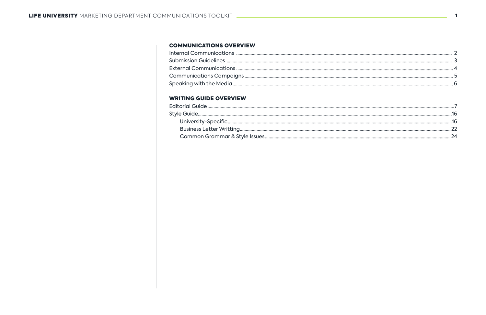#### **COMMUNICATIONS OVERVIEW**

#### **WRITING GUIDE OVERVIEW**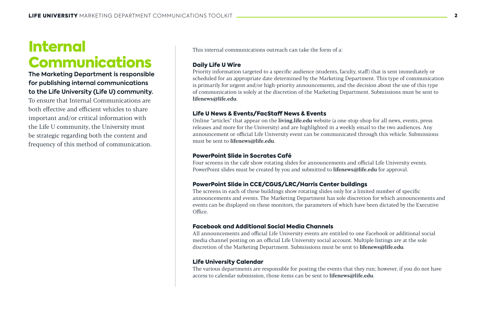## Internal Communications

### **The Marketing Department is responsible for publishing internal communications to the Life University (Life U) community.**

To ensure that Internal Communications are both effective and efficient vehicles to share important and/or critical information with the Life U community, the University must be strategic regarding both the content and frequency of this method of communication. This internal communications outreach can take the form of a:

### Daily Life U Wire

Four screens in the café show rotating slides for announcements and official Life University events. PowerPoint slides must be created by you and submitted to lifenews@life.edu for approval.

Priority information targeted to a specific audience (students, faculty, staff) that is sent immediately or scheduled for an appropriate date determined by the Marketing Department. This type of communication is primarily for urgent and/or high-priority announcements, and the decision about the use of this type of communication is solely at the discretion of the Marketing Department. Submissions must be sent to lifenews@life.edu.

All announcements and official Life University events are entitled to one Facebook or additional social media channel posting on an official Life University social account. Multiple listings are at the sole discretion of the Marketing Department. Submissions must be sent to lifenews@life.edu.

### Life U News & Events/FacStaff News & Events

The various departments are responsible for posting the events that they run; however, if you do not have access to calendar submission, those items can be sent to **lifenews@life.edu**.

Online "articles" that appear on the living.life.edu website (a one-stop-shop for all news, events, press releases and more for the University) and are highlighted in a weekly email to the two audiences. Any announcement or official Life University event can be communicated through this vehicle. Submissions must be sent to lifenews@life.edu.

#### PowerPoint Slide in Socrates Café

#### PowerPoint Slide in CCE/CGUS/LRC/Harris Center buildings

The screens in each of these buildings show rotating slides only for a limited number of specific announcements and events. The Marketing Department has sole discretion for which announcements and events can be displayed on these monitors, the parameters of which have been dictated by the Executive Office.

#### Facebook and Additional Social Media Channels

#### Life University Calendar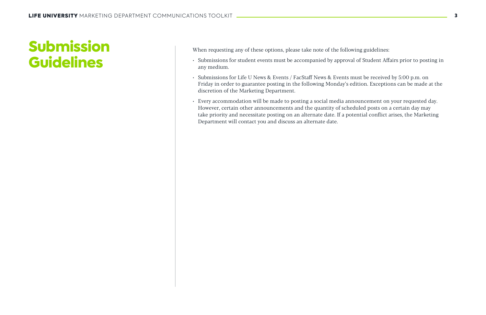# Submission Guidelines

When requesting any of these options, please take note of the following guidelines:

- Submissions for student events must be accompanied by approval of Student Affairs prior to posting in any medium.
- Submissions for Life U News & Events / FacStaff News & Events must be received by 5:00 p.m. on Friday in order to guarantee posting in the following Monday's edition. Exceptions can be made at the discretion of the Marketing Department.
- Every accommodation will be made to posting a social media announcement on your requested day. However, certain other announcements and the quantity of scheduled posts on a certain day may take priority and necessitate posting on an alternate date. If a potential conflict arises, the Marketing Department will contact you and discuss an alternate date.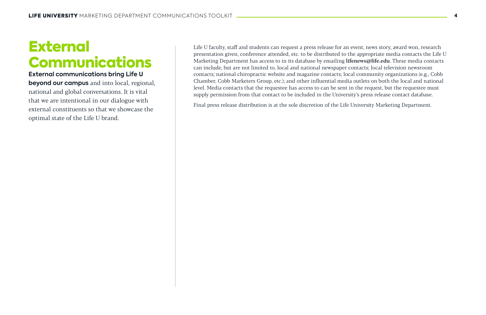### External Communications

**External communications bring Life U beyond our campus** and into local, regional, national and global conversations. It is vital that we are intentional in our dialogue with external constituents so that we showcase the optimal state of the Life U brand.

Life U faculty, staff and students can request a press release for an event, news story, award won, research presentation given, conference attended, etc. to be distributed to the appropriate media contacts the Life U Marketing Department has access to in its database by emailing lifenews@life.edu. These media contacts can include, but are not limited to, local and national newspaper contacts; local television newsroom contacts; national chiropractic website and magazine contacts; local community organizations (e.g., Cobb Chamber, Cobb Marketers Group, etc.); and other influential media outlets on both the local and national level. Media contacts that the requestee has access to can be sent in the request, but the requestee must supply permission from that contact to be included in the University's press release contact database.

Final press release distribution is at the sole discretion of the Life University Marketing Department.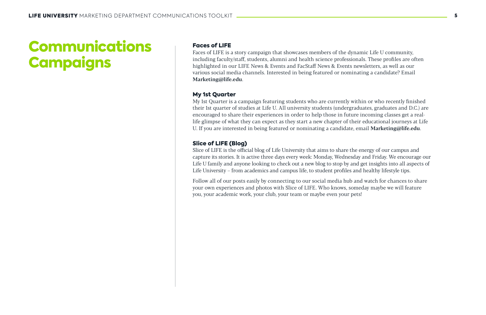# Communications **Campaigns**

#### Faces of LIFE

My 1st Quarter is a campaign featuring students who are currently within or who recently finished their 1st quarter of studies at Life U. All university students (undergraduates, graduates and D.C.) are encouraged to share their experiences in order to help those in future incoming classes get a reallife glimpse of what they can expect as they start a new chapter of their educational journeys at Life U. If you are interested in being featured or nominating a candidate, email Marketing@life.edu.

Faces of LIFE is a story campaign that showcases members of the dynamic Life U community, including faculty/staff, students, alumni and health science professionals. These profiles are often highlighted in our LIFE News & Events and FacStaff News & Events newsletters, as well as our various social media channels. Interested in being featured or nominating a candidate? Email Marketing@life.edu.

#### My 1st Quarter

#### Slice of LIFE (Blog)

Slice of LIFE is the official blog of Life University that aims to share the energy of our campus and capture its stories. It is active three days every week: Monday, Wednesday and Friday. We encourage our Life U family and anyone looking to check out a new blog to stop by and get insights into all aspects of Life University – from academics and campus life, to student profiles and healthy lifestyle tips.

Follow all of our posts easily by connecting to our social media hub and watch for chances to share your own experiences and photos with Slice of LIFE. Who knows, someday maybe we will feature you, your academic work, your club, your team or maybe even your pets!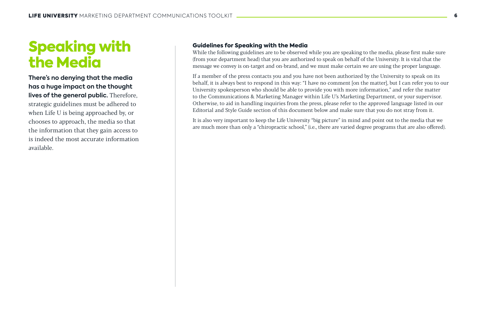# Speaking with the Media

**There's no denying that the media has a huge impact on the thought lives of the general public.** Therefore, strategic guidelines must be adhered to when Life U is being approached by, or chooses to approach, the media so that the information that they gain access to is indeed the most accurate information available.

### Guidelines for Speaking with the Media

While the following guidelines are to be observed while you are speaking to the media, please first make sure (from your department head) that you are authorized to speak on behalf of the University. It is vital that the message we convey is on-target and on-brand, and we must make certain we are using the proper language.

If a member of the press contacts you and you have not been authorized by the University to speak on its behalf, it is always best to respond in this way: "I have no comment [on the matter], but I can refer you to our University spokesperson who should be able to provide you with more information," and refer the matter to the Communications & Marketing Manager within Life U's Marketing Department, or your supervisor. Otherwise, to aid in handling inquiries from the press, please refer to the approved language listed in our Editorial and Style Guide section of this document below and make sure that you do not stray from it.

It is also very important to keep the Life University "big picture" in mind and point out to the media that we are much more than only a "chiropractic school," (i.e., there are varied degree programs that are also offered).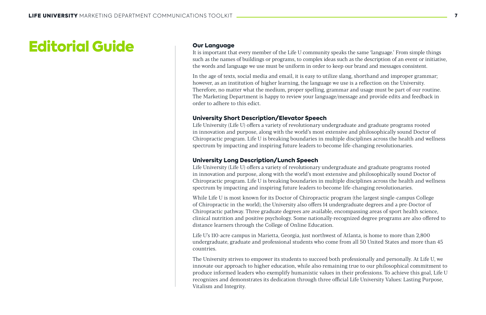# Editorial Guide Our Language

It is important that every member of the Life U community speaks the same 'language.' From simple things such as the names of buildings or programs, to complex ideas such as the description of an event or initiative, the words and language we use must be uniform in order to keep our brand and messages consistent.

In the age of texts, social media and email, it is easy to utilize slang, shorthand and improper grammar; however, as an institution of higher learning, the language we use is a reflection on the University. Therefore, no matter what the medium, proper spelling, grammar and usage must be part of our routine. The Marketing Department is happy to review your language/message and provide edits and feedback in order to adhere to this edict.

#### University Short Description/Elevator Speech

Life University (Life U) offers a variety of revolutionary undergraduate and graduate programs rooted in innovation and purpose, along with the world's most extensive and philosophically sound Doctor of Chiropractic program. Life U is breaking boundaries in multiple disciplines across the health and wellness spectrum by impacting and inspiring future leaders to become life-changing revolutionaries.

#### University Long Description/Lunch Speech

Life University (Life U) offers a variety of revolutionary undergraduate and graduate programs rooted in innovation and purpose, along with the world's most extensive and philosophically sound Doctor of Chiropractic program. Life U is breaking boundaries in multiple disciplines across the health and wellness spectrum by impacting and inspiring future leaders to become life-changing revolutionaries.

While Life U is most known for its Doctor of Chiropractic program (the largest single-campus College of Chiropractic in the world), the University also offers 14 undergraduate degrees and a pre-Doctor of Chiropractic pathway. Three graduate degrees are available, encompassing areas of sport health science, clinical nutrition and positive psychology. Some nationally-recognized degree programs are also offered to distance learners through the College of Online Education.

Life U's 110-acre campus in Marietta, Georgia, just northwest of Atlanta, is home to more than 2,800 undergraduate, graduate and professional students who come from all 50 United States and more than 45 countries.

The University strives to empower its students to succeed both professionally and personally. At Life U, we innovate our approach to higher education, while also remaining true to our philosophical commitment to produce informed leaders who exemplify humanistic values in their professions. To achieve this goal, Life U recognizes and demonstrates its dedication through three official Life University Values: Lasting Purpose, Vitalism and Integrity.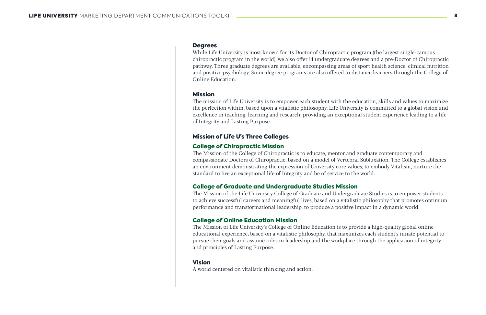#### **Degrees**

While Life University is most known for its Doctor of Chiropractic program (the largest single-campus chiropractic program in the world), we also offer 14 undergraduate degrees and a pre-Doctor of Chiropractic pathway. Three graduate degrees are available, encompassing areas of sport health science, clinical nutrition and positive psychology. Some degree programs are also offered to distance learners through the College of Online Education.

#### Mission

The mission of Life University is to empower each student with the education, skills and values to maximize the perfection within, based upon a vitalistic philosophy. Life University is committed to a global vision and excellence in teaching, learning and research, providing an exceptional student experience leading to a life of Integrity and Lasting Purpose.

### Mission of Life U's Three Colleges

### College of Chiropractic Mission

The Mission of the College of Chiropractic is to educate, mentor and graduate contemporary and compassionate Doctors of Chiropractic, based on a model of Vertebral Subluxation. The College establishes an environment demonstrating the expression of University core values; to embody Vitalism, nurture the standard to live an exceptional life of Integrity and be of service to the world.

### College of Graduate and Undergraduate Studies Mission

The Mission of the Life University College of Graduate and Undergraduate Studies is to empower students to achieve successful careers and meaningful lives, based on a vitalistic philosophy that promotes optimum performance and transformational leadership, to produce a positive impact in a dynamic world.

#### College of Online Education Mission

The Mission of Life University's College of Online Education is to provide a high-quality global online educational experience, based on a vitalistic philosophy, that maximizes each student's innate potential to pursue their goals and assume roles in leadership and the workplace through the application of integrity and principles of Lasting Purpose.

#### Vision

A world centered on vitalistic thinking and action.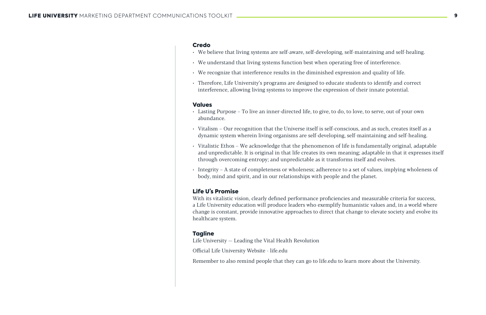#### Credo

- We believe that living systems are self-aware, self-developing, self-maintaining and self-healing.
- We understand that living systems function best when operating free of interference.
- We recognize that interference results in the diminished expression and quality of life.
- Therefore, Life University's programs are designed to educate students to identify and correct interference, allowing living systems to improve the expression of their innate potential.

#### Values

- Lasting Purpose To live an inner-directed life, to give, to do, to love, to serve, out of your own abundance.
- Vitalism Our recognition that the Universe itself is self-conscious, and as such, creates itself as a dynamic system wherein living organisms are self-developing, self-maintaining and self-healing.
- Vitalistic Ethos We acknowledge that the phenomenon of life is fundamentally original, adaptable and unpredictable. It is original in that life creates its own meaning; adaptable in that it expresses itself through overcoming entropy; and unpredictable as it transforms itself and evolves.
- Integrity A state of completeness or wholeness; adherence to a set of values, implying wholeness of body, mind and spirit, and in our relationships with people and the planet.

#### Life U's Promise

With its vitalistic vision, clearly defined performance proficiencies and measurable criteria for success, a Life University education will produce leaders who exemplify humanistic values and, in a world where change is constant, provide innovative approaches to direct that change to elevate society and evolve its healthcare system.

#### **Tagline**

Life University — Leading the Vital Health Revolution

Official Life University Website - life.edu

Remember to also remind people that they can go to life.edu to learn more about the University.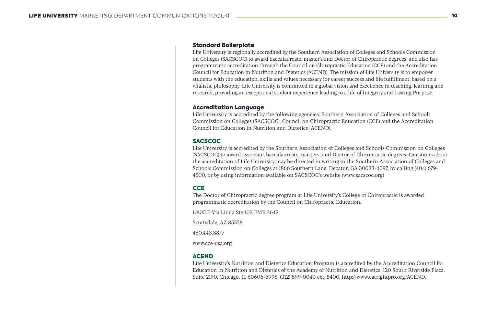#### Standard Boilerplate

Life University is regionally accredited by the Southern Association of Colleges and Schools Commission on Colleges (SACSCOC) to award baccalaureate, master's and Doctor of Chiropractic degrees, and also has programmatic accreditation through the Council on Chiropractic Education (CCE) and the Accreditation Council for Education in Nutrition and Dietetics (ACEND). The mission of Life University is to empower students with the education, skills and values necessary for career success and life fulfillment, based on a vitalistic philosophy. Life University is committed to a global vision and excellence in teaching, learning and research, providing an exceptional student experience leading to a life of Integrity and Lasting Purpose.

#### Accreditation Language

Life University is accredited by the following agencies: Southern Association of Colleges and Schools Commission on Colleges (SACSCOC), Council on Chiropractic Education (CCE) and the Accreditation Council for Education in Nutrition and Dietetics (ACEND).

#### **SACSCOC**

Life University is accredited by the Southern Association of Colleges and Schools Commission on Colleges (SACSCOC) to award associate, baccalaureate, masters, and Doctor of Chiropractic degrees. Questions about the accreditation of Life University may be directed in writing to the Southern Association of Colleges and Schools Commission on Colleges at 1866 Southern Lane, Decatur, GA 30033-4097, by calling (404) 679- 4500, or by using information available on SACSCOC's website (www.sacscoc.org)

#### **CCE**

The Doctor of Chiropractic degree program at Life University's College of Chiropractic is awarded programmatic accreditation by the Council on Chiropractic Education.

10105 E Via Linda Ste 103 PMB 3642

Scottsdale, AZ 85258

480.443.8877

www.cce-usa.org

#### ACEND

Life University's Nutrition and Dietetics Education Program is accredited by the Accreditation Council for Education in Nutrition and Dietetics of the Academy of Nutrition and Dietetics, 120 South Riverside Plaza, Suite 2190, Chicago, IL 60606-6995, (312) 899-0040 ext. 5400. http://www.eatrightpro.org/ACEND.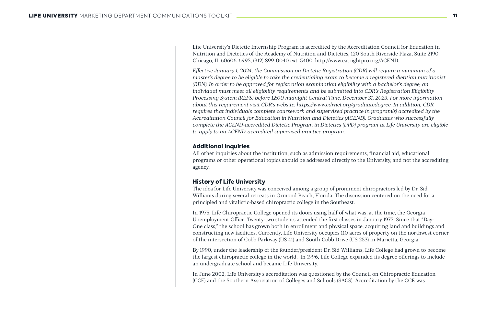Life University's Dietetic Internship Program is accredited by the Accreditation Council for Education in Nutrition and Dietetics of the Academy of Nutrition and Dietetics, 120 South Riverside Plaza, Suite 2190, Chicago, IL 60606-6995, (312) 899-0040 ext. 5400. http://www.eatrightpro.org/ACEND.

*Effective January 1, 2024, the Commission on Dietetic Registration (CDR) will require a minimum of a master's degree to be eligible to take the credentialing exam to become a registered dietitian nutritionist (RDN). In order to be approved for registration examination eligibility with a bachelor's degree, an individual must meet all eligibility requirements and be submitted into CDR's Registration Eligibility Processing System (REPS) before 12:00 midnight Central Time, December 31, 2023. For more information about this requirement visit CDR's website: https://www.cdrnet.org/graduatedegree. In addition, CDR requires that individuals complete coursework and supervised practice in program(s) accredited by the Accreditation Council for Education in Nutrition and Dietetics (ACEND). Graduates who successfully complete the ACEND-accredited Dietetic Program in Dietetics (DPD) program at Life University are eligible to apply to an ACEND-accredited supervised practice program.*

#### Additional Inquiries

All other inquiries about the institution, such as admission requirements, financial aid, educational programs or other operational topics should be addressed directly to the University, and not the accrediting agency.

#### History of Life University

The idea for Life University was conceived among a group of prominent chiropractors led by Dr. Sid Williams during several retreats in Ormond Beach, Florida. The discussion centered on the need for a principled and vitalistic-based chiropractic college in the Southeast.

In 1975, Life Chiropractic College opened its doors using half of what was, at the time, the Georgia Unemployment Office. Twenty-two students attended the first classes in January 1975. Since that "Day-One class," the school has grown both in enrollment and physical space, acquiring land and buildings and constructing new facilities. Currently, Life University occupies 110 acres of property on the northwest corner of the intersection of Cobb Parkway (US 41) and South Cobb Drive (US 253) in Marietta, Georgia.

By 1990, under the leadership of the founder/president Dr. Sid Williams, Life College had grown to become the largest chiropractic college in the world. In 1996, Life College expanded its degree offerings to include an undergraduate school and became Life University.

In June 2002, Life University's accreditation was questioned by the Council on Chiropractic Education (CCE) and the Southern Association of Colleges and Schools (SACS). Accreditation by the CCE was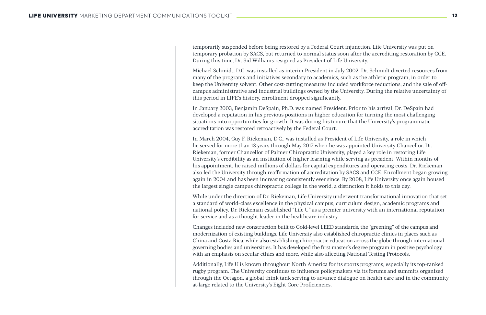temporarily suspended before being restored by a Federal Court injunction. Life University was put on temporary probation by SACS, but returned to normal status soon after the accrediting restoration by CCE. During this time, Dr. Sid Williams resigned as President of Life University.

Michael Schmidt, D.C. was installed as interim President in July 2002. Dr. Schmidt diverted resources from many of the programs and initiatives secondary to academics, such as the athletic program, in order to keep the University solvent. Other cost-cutting measures included workforce reductions, and the sale of offcampus administrative and industrial buildings owned by the University. During the relative uncertainty of this period in LIFE's history, enrollment dropped significantly.

In January 2003, Benjamin DeSpain, Ph.D. was named President. Prior to his arrival, Dr. DeSpain had developed a reputation in his previous positions in higher education for turning the most challenging situations into opportunities for growth. It was during his tenure that the University's programmatic accreditation was restored retroactively by the Federal Court.

In March 2004, Guy F. Riekeman, D.C., was installed as President of Life University, a role in which he served for more than 13 years through May 2017 when he was appointed University Chancellor. Dr. Riekeman, former Chancellor of Palmer Chiropractic University, played a key role in restoring Life University's credibility as an institution of higher learning while serving as president. Within months of his appointment, he raised millions of dollars for capital expenditures and operating costs. Dr. Riekeman also led the University through reaffirmation of accreditation by SACS and CCE. Enrollment began growing again in 2004 and has been increasing consistently ever since. By 2008, Life University once again housed the largest single campus chiropractic college in the world, a distinction it holds to this day.

While under the direction of Dr. Riekeman, Life University underwent transformational innovation that set a standard of world-class excellence in the physical campus, curriculum design, academic programs and national policy. Dr. Riekeman established "Life U" as a premier university with an international reputation for service and as a thought leader in the healthcare industry.

Changes included new construction built to Gold-level LEED standards, the "greening" of the campus and modernization of existing buildings. Life University also established chiropractic clinics in places such as China and Costa Rica, while also establishing chiropractic education across the globe through international governing bodies and universities. It has developed the first master's degree program in positive psychology with an emphasis on secular ethics and more, while also affecting National Testing Protocols.

Additionally, Life U is known throughout North America for its sports programs, especially its top-ranked rugby program. The University continues to influence policymakers via its forums and summits organized through the Octagon, a global think tank serving to advance dialogue on health care and in the community at-large related to the University's Eight Core Proficiencies.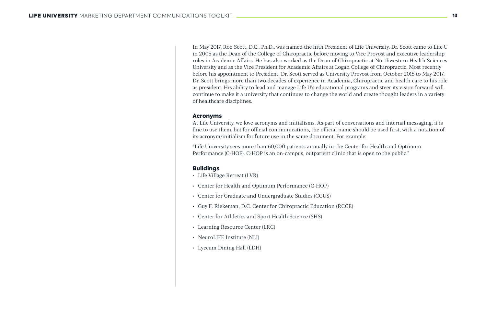In May 2017, Rob Scott, D.C., Ph.D., was named the fifth President of Life University. Dr. Scott came to Life U in 2005 as the Dean of the College of Chiropractic before moving to Vice Provost and executive leadership roles in Academic Affairs. He has also worked as the Dean of Chiropractic at Northwestern Health Sciences University and as the Vice President for Academic Affairs at Logan College of Chiropractic. Most recently before his appointment to President, Dr. Scott served as University Provost from October 2015 to May 2017. Dr. Scott brings more than two decades of experience in Academia, Chiropractic and health care to his role as president. His ability to lead and manage Life U's educational programs and steer its vision forward will continue to make it a university that continues to change the world and create thought leaders in a variety of healthcare disciplines.

#### Acronyms

At Life University, we love acronyms and initialisms. As part of conversations and internal messaging, it is fine to use them, but for official communications, the official name should be used first, with a notation of its acronym/initialism for future use in the same document. For example:

"Life University sees more than 60,000 patients annually in the Center for Health and Optimum Performance (C-HOP). C-HOP is an on-campus, outpatient clinic that is open to the public."

#### Buildings

- Life Village Retreat (LVR)
- Center for Health and Optimum Performance (C-HOP)
- Center for Graduate and Undergraduate Studies (CGUS)
- Guy F. Riekeman, D.C. Center for Chiropractic Education (RCCE)
- Center for Athletics and Sport Health Science (SHS)
- Learning Resource Center (LRC)
- NeuroLIFE Institute (NLI)
- Lyceum Dining Hall (LDH)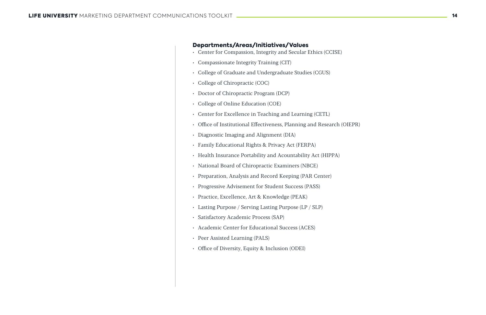#### Departments/Areas/Initiatives/Values

- Center for Compassion, Integrity and Secular Ethics (CCISE)
- Compassionate Integrity Training (CIT)
- College of Graduate and Undergraduate Studies (CGUS)
- College of Chiropractic (COC)
- Doctor of Chiropractic Program (DCP)
- College of Online Education (COE)
- Center for Excellence in Teaching and Learning (CETL)
- Office of Institutional Effectiveness, Planning and Research (OIEPR)
- Diagnostic Imaging and Alignment (DIA)
- Family Educational Rights & Privacy Act (FERPA)
- Health Insurance Portability and Acountability Act (HIPPA)
- National Board of Chiropractic Examiners (NBCE)
- Preparation, Analysis and Record Keeping (PAR Center)
- Progressive Advisement for Student Success (PASS)
- Practice, Excellence, Art & Knowledge (PEAK)
- Lasting Purpose / Serving Lasting Purpose (LP / SLP)
- Satisfactory Academic Process (SAP)
- Academic Center for Educational Success (ACES)
- Peer Assisted Learning (PALS)
- Office of Diversity, Equity & Inclusion (ODEI)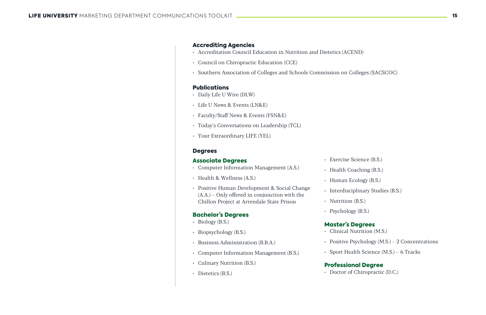#### Accrediting Agencies

- Accreditation Council Education in Nutrition and Dietetics (ACEND)
- Council on Chiropractic Education (CCE)
- Southern Association of Colleges and Schools Commission on Colleges (SACSCOC)

#### **Publications**

- Daily Life U Wire (DLW)
- Life U News & Events (LN&E)
- Faculty/Staff News & Events (FSN&E)
- Today's Conversations on Leadership (TCL)
- Your Extraordinary LIFE (YEL)

#### **Degrees**

- Exercise Science (B.S.)
- Health Coaching (B.S.)
- Human Ecology (B.S.)
- 
- Nutrition (B.S.)
- Psychology (B.S.)

#### Associate Degrees

- Computer Information Management (A.S.)
- Health & Wellness (A.S.)
- Positive Human Development & Social Change (A.A.) – Only offered in conjunction with the Chillon Project at Arrendale State Prison

#### Bachelor's Degrees

- $\cdot$  Biology (B.S.)
- Biopsychology (B.S.)
- Business Administration (B.B.A.)
- Computer Information Management (B.S.)
- Culinary Nutrition (B.S.)
- Dietetics (B.S.)

• Interdisciplinary Studies (B.S.)

### Master's Degrees

- 
- 
- 

• Clinical Nutrition (M.S.)

• Positive Psychology (M.S.) – 2 Concentrations

• Sport Health Science (M.S.) – 6 Tracks

#### Professional Degree

• Doctor of Chiropractic (D.C.)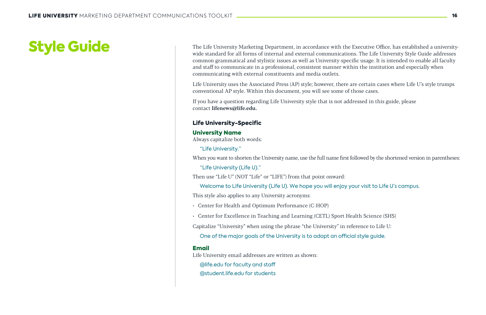The Life University Marketing Department, in accordance with the Executive Office, has established a universitywide standard for all forms of internal and external communications. The Life University Style Guide addresses common grammatical and stylistic issues as well as University-specific usage. It is intended to enable all faculty and staff to communicate in a professional, consistent manner within the institution and especially when communicating with external constituents and media outlets.

Life University uses the Associated Press (AP) style; however, there are certain cases where Life U's style trumps conventional AP style. Within this document, you will see some of those cases.

If you have a question regarding Life University style that is not addressed in this guide, please contact lifenews@life.edu.

#### Life University-Specific

#### University Name

Always capitalize both words:

"Life University."

When you want to shorten the University name, use the full name first followed by the shortened version in parentheses:

"Life University (Life U)."

Then use "Life U" (NOT "Life" or "LIFE") from that point onward:

Welcome to Life University (Life U). We hope you will enjoy your visit to Life U's campus. This style also applies to any University acronyms:

- Center for Health and Optimum Performance (C-HOP)
- Center for Excellence in Teaching and Learning (CETL) Sport Health Science (SHS)

Capitalize "University" when using the phrase "the University" in reference to Life U:

One of the major goals of the University is to adopt an official style guide.

#### Email

Life University email addresses are written as shown:

@life.edu for faculty and staff

@student.life.edu for students

# Style Guide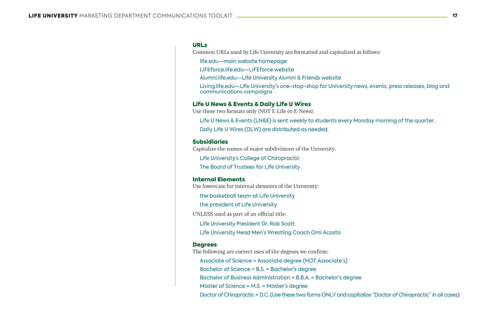#### URLs

Common URLs used by Life University are formatted and capitalized as follows:

life.edu—main website homepage

LIFEforce.life.edu—LIFEforce website

Alumni.life.edu—Life University Alumni & Friends website

Living.life.edu—Life University's one-stop-shop for University news, events, press releases, blog and communications campaigns

#### Life U News & Events & Daily Life U Wires

Use these two formats only (NOT E-Life or E-News);

Life U News & Events (LN&E) is sent weekly to students every Monday morning of the quarter. Daily Life U Wires (DLW) are distributed as needed.

#### Subsidiaries

Capitalize the names of major subdivisions of the University:

Life University's College of Chiropractic

The Board of Trustees for Life University

#### Internal Elements

Use lowercase for internal elements of the University:

the basketball team at Life University

the president of Life University

UNLESS used as part of an official title:

Life University President Dr. Rob Scott

Life University Head Men's Wrestling Coach Omi Acosta

#### **Degrees**

The following are correct uses of the degrees we confirm:

Associate of Science = Associate degree (NOT Associate's) Bachelor of Science = B.S. = Bachelor's degree

Bachelor of Business Administration = B.B.A. = Bachelor's degree

Master of Science = M.S. = Master's degree

Doctor of Chiropractic = D.C. (Use these two forms ONLY and capitalize "Doctor of Chiropractic" in all cases)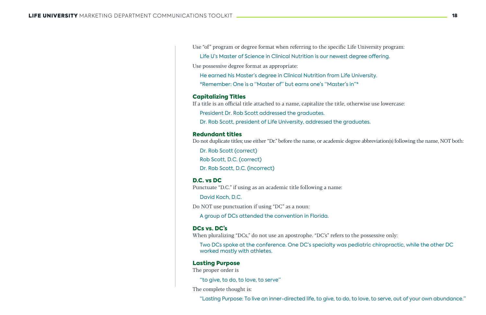Use "of" program or degree format when referring to the specific Life University program:

Life U's Master of Science in Clinical Nutrition is our newest degree offering. Use possessive degree format as appropriate:

He earned his Master's degree in Clinical Nutrition from Life University. \*Remember: One is a "Master of" but earns one's "Master's in"\*

#### Capitalizing Titles

If a title is an official title attached to a name, capitalize the title, otherwise use lowercase:

President Dr. Rob Scott addressed the graduates.

Dr. Rob Scott, president of Life University, addressed the graduates.

#### Redundant titles

Do not duplicate titles; use either "Dr." before the name, or academic degree abbreviation(s) following the name, NOT both:

Dr. Rob Scott (correct) Rob Scott, D.C. (correct) Dr. Rob Scott, D.C. (incorrect)

#### D.C. vs DC

Punctuate "D.C." if using as an academic title following a name:

David Koch, D.C.

Do NOT use punctuation if using "DC" as a noun:

A group of DCs attended the convention in Florida.

#### DCs vs. DC's

When pluralizing "DCs," do not use an apostrophe. "DC's" refers to the possessive only: Two DCs spoke at the conference. One DC's specialty was pediatric chiropractic, while the other DC

worked mostly with athletes.

#### Lasting Purpose

The proper order is

"to give, to do, to love, to serve"

The complete thought is:

"Lasting Purpose: To live an inner-directed life, to give, to do, to love, to serve, out of your own abundance."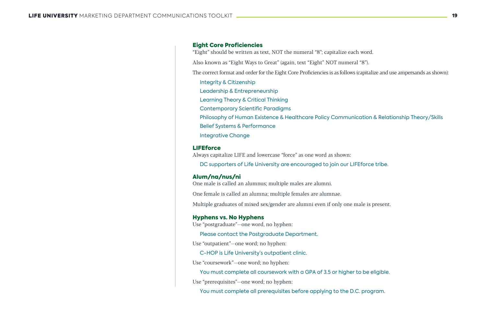#### Eight Core Proficiencies

"Eight" should be written as text, NOT the numeral "8"; capitalize each word.

Also known as "Eight Ways to Great" (again, text "Eight" NOT numeral "8").

The correct format and order for the Eight Core Proficiencies is as follows (capitalize and use ampersands as shown):

Integrity & Citizenship Leadership & Entrepreneurship Learning Theory & Critical Thinking Contemporary Scientific Paradigms Philosophy of Human Existence & Healthcare Policy Communication & Relationship Theory/Skills Belief Systems & Performance Integrative Change

#### **LIFEforce**

Always capitalize LIFE and lowercase "force" as one word as shown:

DC supporters of Life University are encouraged to join our LIFEforce tribe.

#### Alum/na/nus/ni

One male is called an alumnus; multiple males are alumni.

One female is called an alumna; multiple females are alumnae.

Multiple graduates of mixed sex/gender are alumni even if only one male is present.

#### Hyphens vs. No Hyphens

Use "postgraduate"—one word, no hyphen:

Please contact the Postgraduate Department.

Use "outpatient"—one word; no hyphen:

C-HOP is Life University's outpatient clinic.

Use "coursework"—one word; no hyphen:

You must complete all coursework with a GPA of 3.5 or higher to be eligible. Use "prerequisites"—one word; no hyphen:

You must complete all prerequisites before applying to the D.C. program.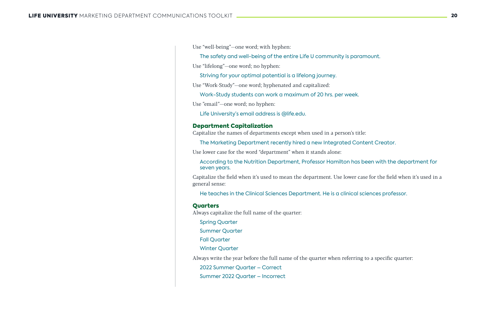Use "well-being"—one word; with hyphen:

The safety and well-being of the entire Life U community is paramount. Use "lifelong"—one word; no hyphen:

Striving for your optimal potential is a lifelong journey.

Use "Work-Study"—one word; hyphenated and capitalized:

Work-Study students can work a maximum of 20 hrs. per week. Use "email"—one word; no hyphen:

Life University's email address is @life.edu.

#### Department Capitalization

Capitalize the names of departments except when used in a person's title:

The Marketing Department recently hired a new Integrated Content Creator.

Use lower case for the word "department" when it stands alone:

According to the Nutrition Department, Professor Hamilton has been with the department for seven years.

Capitalize the field when it's used to mean the department. Use lower case for the field when it's used in a general sense:

He teaches in the Clinical Sciences Department. He is a clinical sciences professor.

#### **Ouarters**

Always capitalize the full name of the quarter:

Spring Quarter

Summer Quarter

Fall Quarter

Winter Quarter

Always write the year before the full name of the quarter when referring to a specific quarter:

2022 Summer Quarter – Correct

Summer 2022 Quarter – Incorrect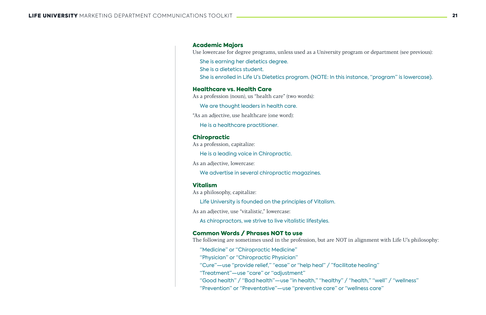#### Academic Majors

Use lowercase for degree programs, unless used as a University program or department (see previous):

She is earning her dietetics degree. She is a dietetics student.

She is enrolled in Life U's Dietetics program. (NOTE: In this instance, "program" is lowercase).

#### Healthcare vs. Health Care

As a profession (noun), us "health care" (two words):

We are thought leaders in health care.

"As an adjective, use healthcare (one word):

He is a healthcare practitioner.

#### Chiropractic

As a profession, capitalize:

He is a leading voice in Chiropractic.

As an adjective, lowercase:

We advertise in several chiropractic magazines.

#### Vitalism

As a philosophy, capitalize:

Life University is founded on the principles of Vitalism.

As an adjective, use "vitalistic," lowercase:

As chiropractors, we strive to live vitalistic lifestyles.

#### Common Words / Phrases NOT to use

The following are sometimes used in the profession, but are NOT in alignment with Life U's philosophy:

"Medicine" or "Chiropractic Medicine"

"Physician" or "Chiropractic Physician"

"Cure"—use "provide relief," "ease" or "help heal" / "facilitate healing" "Treatment"—use "care" or "adjustment"

"Good health" / "Bad health"—use "in health," "healthy" / "health," "well" / "wellness" "Prevention" or "Preventative"—use "preventive care" or "wellness care"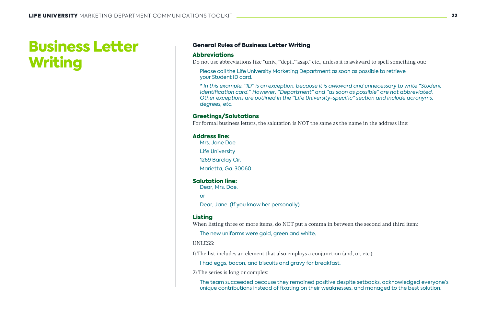#### General Rules of Business Letter Writing

#### Abbreviations

Do not use abbreviations like "univ.,""dept.,""asap," etc., unless it is awkward to spell something out:

Please call the Life University Marketing Department as soon as possible to retrieve your Student ID card.

*\* In this example, "ID" is an exception, because it is awkward and unnecessary to write "Student Identification card." However, "Department" and "as soon as possible" are not abbreviated. Other exceptions are outlined in the "Life University-specific" section and include acronyms, degrees, etc.* 

#### Greetings/Salutations

For formal business letters, the salutation is NOT the same as the name in the address line:

#### Address line:

Mrs. Jane Doe Life University

1269 Barclay Cir.

Marietta, Ga. 30060

#### Salutation line:

Dear, Mrs. Doe.

or

Dear, Jane. (If you know her personally)

#### Listing

When listing three or more items, do NOT put a comma in between the second and third item:

The new uniforms were gold, green and white.

UNLESS:

1) The list includes an element that also employs a conjunction (and, or, etc.):

I had eggs, bacon, and biscuits and gravy for breakfast.

2) The series is long or complex:

The team succeeded because they remained positive despite setbacks, acknowledged everyone's unique contributions instead of fixating on their weaknesses, and managed to the best solution.

# Business Letter Writing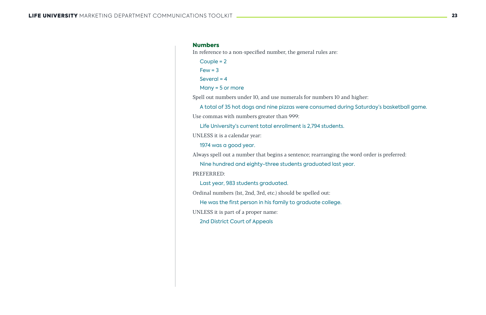#### **Numbers**

Couple = 2  $Few = 3$ 

Several  $= 4$ 

In reference to a non-specified number, the general rules are:

Many = 5 or more

Spell out numbers under 10, and use numerals for numbers 10 and higher:

A total of 35 hot dogs and nine pizzas were consumed during Saturday's basketball game. Use commas with numbers greater than 999:

Life University's current total enrollment is 2,794 students.

UNLESS it is a calendar year:

1974 was a good year.

Always spell out a number that begins a sentence; rearranging the word order is preferred:

Nine hundred and eighty-three students graduated last year. PREFERRED:

Last year, 983 students graduated.

Ordinal numbers (1st, 2nd, 3rd, etc.) should be spelled out:

He was the first person in his family to graduate college.

UNLESS it is part of a proper name:

2nd District Court of Appeals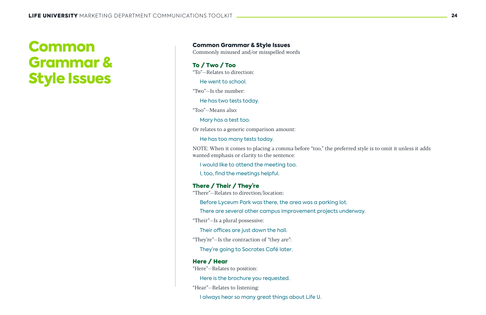Common Grammar & Style Issues

Commonly misused and/or misspelled words

To / Two / Too "To"—Relates to direction:

He went to school.

"Two"—Is the number:

He has two tests today.

"Too"—Means also:

Mary has a test too.

Or relates to a generic comparison amount:

He has too many tests today.

NOTE: When it comes to placing a comma before "too," the preferred style is to omit it unless it adds wanted emphasis or clarity to the sentence:

I would like to attend the meeting too.

I, too, find the meetings helpful.

#### There / Their / They're

"There"—Relates to direction/location:

Before Lyceum Park was there, the area was a parking lot.

There are several other campus improvement projects underway.

"Their"—Is a plural possessive:

Their offices are just down the hall.

"They're"—Is the contraction of "they are":

They're going to Socrates Café later.

#### Here / Hear

"Here"—Relates to position:

Here is the brochure you requested.

"Hear"—Relates to listening:

I always hear so many great things about Life U.

# Common Grammar & Style Issues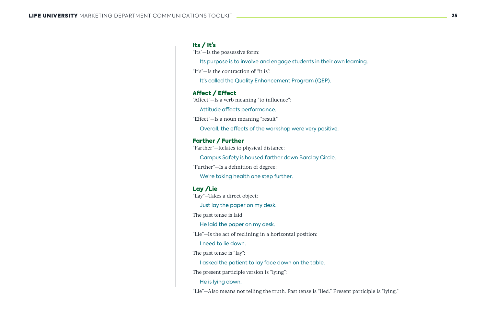#### Its / It's

"Its"—Is the possessive form:

Its purpose is to involve and engage students in their own learning.

"It's"—Is the contraction of "it is":

It's called the Quality Enhancement Program (QEP).

#### Affect / Effect

"Affect"—Is a verb meaning "to influence":

Attitude affects performance.

"Effect"—Is a noun meaning "result":

Overall, the effects of the workshop were very positive.

#### Farther / Further

"Farther"—Relates to physical distance:

Campus Safety is housed farther down Barclay Circle.

"Further"—Is a definition of degree:

We're taking health one step further.

#### Lay /Lie

"Lay"—Takes a direct object:

Just lay the paper on my desk.

The past tense is laid:

He laid the paper on my desk.

"Lie"—Is the act of reclining in a horizontal position:

I need to lie down.

The past tense is "lay":

I asked the patient to lay face down on the table.

The present participle version is "lying":

He is lying down.

"Lie"—Also means not telling the truth. Past tense is "lied." Present participle is "lying."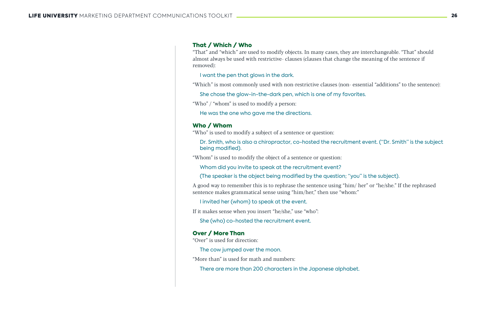#### That / Which / Who

"That" and "which" are used to modify objects. In many cases, they are interchangeable. "That" should almost always be used with restrictive- clauses (clauses that change the meaning of the sentence if removed):

I want the pen that glows in the dark.

"Which" is most commonly used with non-restrictive clauses (non- essential "additions" to the sentence): She chose the glow-in-the-dark pen, which is one of my favorites.

"Who" / "whom" is used to modify a person:

He was the one who gave me the directions.

#### Who / Whom

"Who" is used to modify a subject of a sentence or question:

Dr. Smith, who is also a chiropractor, co-hosted the recruitment event. ("Dr. Smith" is the subject being modified).

"Whom" is used to modify the object of a sentence or question:

Whom did you invite to speak at the recruitment event?

(The speaker is the object being modified by the question; "you" is the subject).

A good way to remember this is to rephrase the sentence using "him/ her" or "he/she." If the rephrased sentence makes grammatical sense using "him/her," then use "whom:"

I invited her (whom) to speak at the event.

If it makes sense when you insert "he/she," use "who":

She (who) co-hosted the recruitment event.

#### Over / More Than

"Over" is used for direction:

The cow jumped over the moon.

"More than" is used for math and numbers:

There are more than 200 characters in the Japanese alphabet.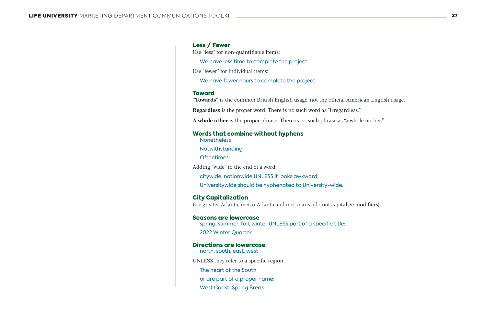#### Less / Fewer

Use "less" for non-quantifiable items:

We have less time to complete the project.

Use "fewer" for individual items:

We have fewer hours to complete the project.

"Towards" is the common British English usage, not the official American English usage. Regardless is the proper word. There is no such word as "irregardless." A whole other is the proper phrase. There is no such phrase as "a whole nother."

#### Toward

#### Words that combine without hyphens

**Nonetheless** 

Notwithstanding

**Oftentimes** 

Adding "wide" to the end of a word:

citywide, nationwide UNLESS it looks awkward:

Universitywide should be hyphenated to University-wide.

#### City Capitalization

Use greater Atlanta, metro Atlanta and metro area (do not capitalize modifiers).

#### Seasons are lowercase

spring, summer, fall, winter UNLESS part of a specific title: 2022 Winter Quarter

#### Directions are lowercase

north, south, east, west

UNLESS they refer to a specific region:

The heart of the South,

or are part of a proper name:

West Coast; Spring Break.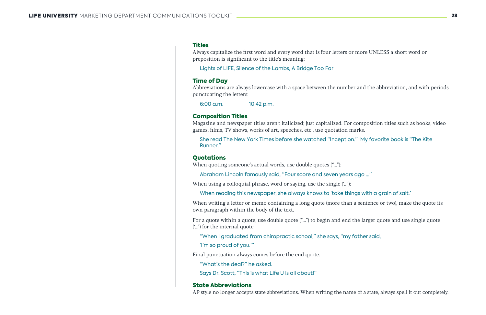#### **Titles**

Always capitalize the first word and every word that is four letters or more UNLESS a short word or preposition is significant to the title's meaning:

Lights of LIFE, Silence of the Lambs, A Bridge Too Far

#### Time of Day

Abbreviations are always lowercase with a space between the number and the abbreviation, and with periods punctuating the letters:

6:00 a.m. 10:42 p.m.

#### Composition Titles

Magazine and newspaper titles aren't italicized; just capitalized. For composition titles such as books, video games, films, TV shows, works of art, speeches, etc., use quotation marks.

She read The New York Times before she watched "Inception." My favorite book is "The Kite Runner."

#### **Ouotations**

When quoting someone's actual words, use double quotes ("..."):

Abraham Lincoln famously said, "Four score and seven years ago ..."

When using a colloquial phrase, word or saying, use the single  $(\cdot \cdot \cdot)$ :

When reading this newspaper, she always knows to 'take things with a grain of salt.'

When writing a letter or memo containing a long quote (more than a sentence or two), make the quote its own paragraph within the body of the text.

For a quote within a quote, use double quote ("...") to begin and end the larger quote and use single quote ('...') for the internal quote:

"When I graduated from chiropractic school," she says, "my father said, 'I'm so proud of you.'"

Final punctuation always comes before the end quote:

"What's the deal?" he asked.

Says Dr. Scott, "This is what Life U is all about!"

#### State Abbreviations

AP style no longer accepts state abbreviations. When writing the name of a state, always spell it out completely.